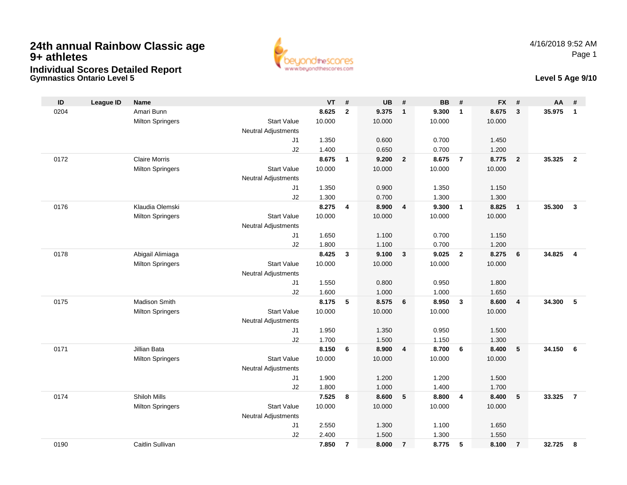# **24th annual Rainbow Classic age 9+ athletesIndividual Scores Detailed Report**





| ID   | <b>League ID</b> | <b>Name</b>             |                            | <b>VT</b> | #              | <b>UB</b> | #              | <b>BB</b> | #                       | <b>FX</b> | #              | <b>AA</b> | #              |
|------|------------------|-------------------------|----------------------------|-----------|----------------|-----------|----------------|-----------|-------------------------|-----------|----------------|-----------|----------------|
| 0204 |                  | Amari Bunn              |                            | 8.625     | $\mathbf{2}$   | 9.375     | $\mathbf{1}$   | 9.300     | $\mathbf{1}$            | 8.675     | $\mathbf{3}$   | 35.975    | $\mathbf{1}$   |
|      |                  | <b>Milton Springers</b> | <b>Start Value</b>         | 10.000    |                | 10.000    |                | 10.000    |                         | 10.000    |                |           |                |
|      |                  |                         | <b>Neutral Adjustments</b> |           |                |           |                |           |                         |           |                |           |                |
|      |                  |                         | J1                         | 1.350     |                | 0.600     |                | 0.700     |                         | 1.450     |                |           |                |
|      |                  |                         | J2                         | 1.400     |                | 0.650     |                | 0.700     |                         | 1.200     |                |           |                |
| 0172 |                  | <b>Claire Morris</b>    |                            | 8.675     | $\mathbf{1}$   | 9.200     | $\overline{2}$ | 8.675     | $\overline{7}$          | 8.775     | $\overline{2}$ | 35.325    | $\overline{2}$ |
|      |                  | <b>Milton Springers</b> | <b>Start Value</b>         | 10.000    |                | 10.000    |                | 10.000    |                         | 10.000    |                |           |                |
|      |                  |                         | <b>Neutral Adjustments</b> |           |                |           |                |           |                         |           |                |           |                |
|      |                  |                         | J <sub>1</sub>             | 1.350     |                | 0.900     |                | 1.350     |                         | 1.150     |                |           |                |
|      |                  |                         | J2                         | 1.300     |                | 0.700     |                | 1.300     |                         | 1.300     |                |           |                |
| 0176 |                  | Klaudia Olemski         |                            | 8.275     | 4              | 8.900     | 4              | 9.300     | $\mathbf{1}$            | 8.825     | $\mathbf{1}$   | 35.300    | $\overline{3}$ |
|      |                  | <b>Milton Springers</b> | <b>Start Value</b>         | 10.000    |                | 10.000    |                | 10.000    |                         | 10.000    |                |           |                |
|      |                  |                         | Neutral Adjustments        |           |                |           |                |           |                         |           |                |           |                |
|      |                  |                         | J <sub>1</sub>             | 1.650     |                | 1.100     |                | 0.700     |                         | 1.150     |                |           |                |
|      |                  |                         | J2                         | 1.800     |                | 1.100     |                | 0.700     |                         | 1.200     |                |           |                |
| 0178 |                  | Abigail Alimiaga        |                            | 8.425     | 3              | 9.100     | $\mathbf{3}$   | 9.025     | $\overline{2}$          | 8.275     | 6              | 34.825    | $\overline{4}$ |
|      |                  | <b>Milton Springers</b> | <b>Start Value</b>         | 10.000    |                | 10.000    |                | 10.000    |                         | 10.000    |                |           |                |
|      |                  |                         | <b>Neutral Adjustments</b> |           |                |           |                |           |                         |           |                |           |                |
|      |                  |                         | J <sub>1</sub>             | 1.550     |                | 0.800     |                | 0.950     |                         | 1.800     |                |           |                |
|      |                  |                         | J2                         | 1.600     |                | 1.000     |                | 1.000     |                         | 1.650     |                |           |                |
| 0175 |                  | Madison Smith           |                            | 8.175     | 5              | 8.575     | 6              | 8.950     | $\overline{\mathbf{3}}$ | 8.600     | $\overline{4}$ | 34.300    | 5              |
|      |                  | <b>Milton Springers</b> | <b>Start Value</b>         | 10.000    |                | 10.000    |                | 10.000    |                         | 10.000    |                |           |                |
|      |                  |                         | <b>Neutral Adjustments</b> |           |                |           |                |           |                         |           |                |           |                |
|      |                  |                         | J1                         | 1.950     |                | 1.350     |                | 0.950     |                         | 1.500     |                |           |                |
|      |                  |                         | J2                         | 1.700     |                | 1.500     |                | 1.150     |                         | 1.300     |                |           |                |
| 0171 |                  | <b>Jillian Bata</b>     |                            | 8.150     | 6              | 8.900     | $\overline{4}$ | 8.700     | 6                       | 8.400     | 5              | 34.150    | 6              |
|      |                  | <b>Milton Springers</b> | <b>Start Value</b>         | 10.000    |                | 10.000    |                | 10.000    |                         | 10.000    |                |           |                |
|      |                  |                         | Neutral Adjustments        |           |                |           |                |           |                         |           |                |           |                |
|      |                  |                         | J1                         | 1.900     |                | 1.200     |                | 1.200     |                         | 1.500     |                |           |                |
|      |                  |                         | J2                         | 1.800     |                | 1.000     |                | 1.400     |                         | 1.700     |                |           |                |
| 0174 |                  | Shiloh Mills            |                            | 7.525     | 8              | 8.600     | 5              | 8.800     | $\overline{4}$          | 8.400     | 5              | 33.325    | $\overline{7}$ |
|      |                  | <b>Milton Springers</b> | <b>Start Value</b>         | 10.000    |                | 10.000    |                | 10.000    |                         | 10.000    |                |           |                |
|      |                  |                         | Neutral Adjustments        |           |                |           |                |           |                         |           |                |           |                |
|      |                  |                         | J1                         | 2.550     |                | 1.300     |                | 1.100     |                         | 1.650     |                |           |                |
|      |                  |                         | J2                         | 2.400     |                | 1.500     |                | 1.300     |                         | 1.550     |                |           |                |
| 0190 |                  | Caitlin Sullivan        |                            | 7.850     | $\overline{7}$ | 8.000     | $\overline{7}$ | 8.775     | 5                       | 8.100     | $\overline{7}$ | 32.725    | 8              |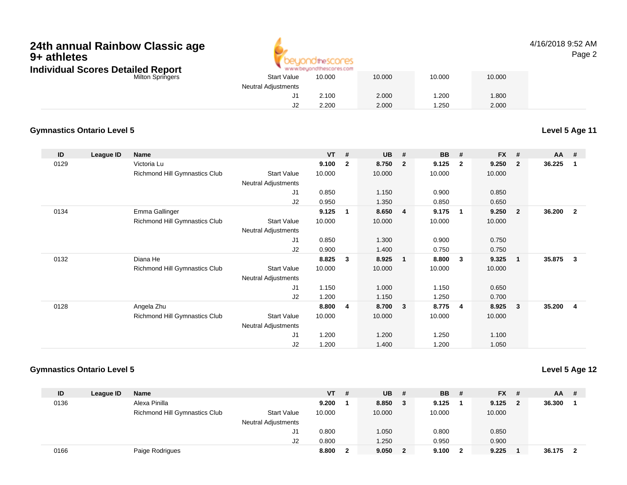## Milton Springers**24th annual Rainbow Classic age 9+ athletesIndividual Scores Detailed Report**



## 4/16/2018 9:52 AMPage 2

|    | 10.000                                           | 10.000                    | 10.000 | 10.000 |
|----|--------------------------------------------------|---------------------------|--------|--------|
|    |                                                  |                           |        |        |
|    | 2.100                                            | 2.000                     | 1.200  | 1.800  |
| J2 | 2.200                                            | 2.000                     | 1.250  | 2.000  |
|    | <b>Start Value</b><br><b>Neutral Adjustments</b> | * www.beyondthescores.com |        |        |

## **Gymnastics Ontario Level 5**

**Level 5 Age 11**

| ID   | League ID | <b>Name</b>                   |                            | $VT$ # |                | <b>UB</b> | #              | <b>BB</b> | #                       | <b>FX</b> | #                       | AA     | #                       |
|------|-----------|-------------------------------|----------------------------|--------|----------------|-----------|----------------|-----------|-------------------------|-----------|-------------------------|--------|-------------------------|
| 0129 |           | Victoria Lu                   |                            | 9.100  | $\overline{2}$ | 8.750     | $\mathbf{2}$   | 9.125     | $\overline{2}$          | 9.250     | $\overline{\mathbf{2}}$ | 36.225 | -1                      |
|      |           | Richmond Hill Gymnastics Club | <b>Start Value</b>         | 10.000 |                | 10.000    |                | 10.000    |                         | 10.000    |                         |        |                         |
|      |           |                               | Neutral Adjustments        |        |                |           |                |           |                         |           |                         |        |                         |
|      |           |                               | J1                         | 0.850  |                | 1.150     |                | 0.900     |                         | 0.850     |                         |        |                         |
|      |           |                               | J2                         | 0.950  |                | 1.350     |                | 0.850     |                         | 0.650     |                         |        |                         |
| 0134 |           | Emma Gallinger                |                            | 9.125  | 1              | 8.650     | $\overline{4}$ | 9.175     | $\overline{\mathbf{1}}$ | 9.250     | $\overline{\mathbf{2}}$ | 36.200 | $\overline{\mathbf{2}}$ |
|      |           | Richmond Hill Gymnastics Club | <b>Start Value</b>         | 10.000 |                | 10.000    |                | 10.000    |                         | 10.000    |                         |        |                         |
|      |           |                               | Neutral Adjustments        |        |                |           |                |           |                         |           |                         |        |                         |
|      |           |                               | J1                         | 0.850  |                | 1.300     |                | 0.900     |                         | 0.750     |                         |        |                         |
|      |           |                               | J2                         | 0.900  |                | 1.400     |                | 0.750     |                         | 0.750     |                         |        |                         |
| 0132 |           | Diana He                      |                            | 8.825  | 3              | 8.925     | 1              | 8.800     | $\mathbf{3}$            | 9.325     | - 1                     | 35.875 | $\mathbf{3}$            |
|      |           | Richmond Hill Gymnastics Club | <b>Start Value</b>         | 10.000 |                | 10.000    |                | 10.000    |                         | 10.000    |                         |        |                         |
|      |           |                               | <b>Neutral Adjustments</b> |        |                |           |                |           |                         |           |                         |        |                         |
|      |           |                               | J1                         | 1.150  |                | 1.000     |                | 1.150     |                         | 0.650     |                         |        |                         |
|      |           |                               | J2                         | 1.200  |                | 1.150     |                | 1.250     |                         | 0.700     |                         |        |                         |
| 0128 |           | Angela Zhu                    |                            | 8.800  | 4              | 8.700     | 3              | 8.775     | 4                       | 8.925     | $\overline{\mathbf{3}}$ | 35.200 | -4                      |
|      |           | Richmond Hill Gymnastics Club | <b>Start Value</b>         | 10.000 |                | 10.000    |                | 10.000    |                         | 10.000    |                         |        |                         |
|      |           |                               | Neutral Adjustments        |        |                |           |                |           |                         |           |                         |        |                         |
|      |           |                               | J1                         | 1.200  |                | 1.200     |                | 1.250     |                         | 1.100     |                         |        |                         |
|      |           |                               | J <sub>2</sub>             | 1.200  |                | 1.400     |                | 1.200     |                         | 1.050     |                         |        |                         |

### **Gymnastics Ontario Level 5**

**Level 5 Age 12**

| ID   | League ID | Name                          |                            | VT.    | # | <b>UB</b> | # | <b>BB</b> | -# | $FX$ # |                | $AA$ #   |  |
|------|-----------|-------------------------------|----------------------------|--------|---|-----------|---|-----------|----|--------|----------------|----------|--|
| 0136 |           | Alexa Pinilla                 |                            | 9.200  |   | 8.850     | 3 | 9.125     |    | 9.125  | $\overline{2}$ | 36.300   |  |
|      |           | Richmond Hill Gymnastics Club | <b>Start Value</b>         | 10.000 |   | 10.000    |   | 10.000    |    | 10.000 |                |          |  |
|      |           |                               | <b>Neutral Adjustments</b> |        |   |           |   |           |    |        |                |          |  |
|      |           |                               | J1.                        | 0.800  |   | 1.050     |   | 0.800     |    | 0.850  |                |          |  |
|      |           |                               | J2                         | 0.800  |   | 1.250     |   | 0.950     |    | 0.900  |                |          |  |
| 0166 |           | Paige Rodrigues               |                            | 8.800  |   | 9.050     |   | 9.100     | 2  | 9.225  |                | 36.175 2 |  |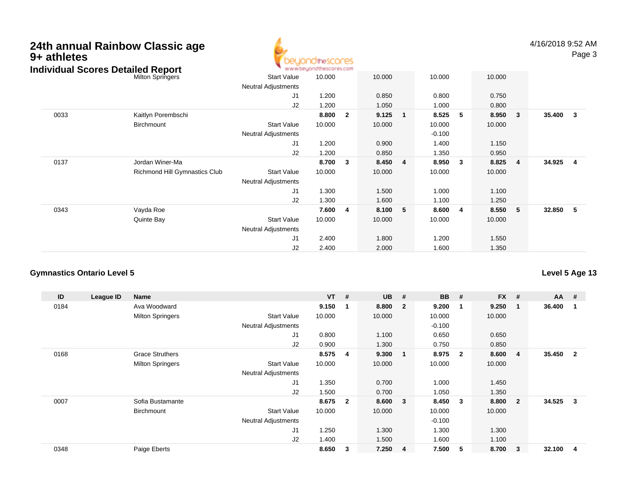| 24th annual Rainbow Classic age<br>9+ athletes<br><b>Individual Scores Detailed Report</b> |                               |                                           | <b>10theSCOCES</b><br>www.beyondthescores.com |                         |        |                |          |              |        |              | 4/16/2018 9:52 AM | Page 3                  |
|--------------------------------------------------------------------------------------------|-------------------------------|-------------------------------------------|-----------------------------------------------|-------------------------|--------|----------------|----------|--------------|--------|--------------|-------------------|-------------------------|
|                                                                                            | <b>Milton Springers</b>       | <b>Start Value</b>                        | 10.000                                        |                         | 10.000 |                | 10.000   |              | 10.000 |              |                   |                         |
|                                                                                            |                               | Neutral Adjustments                       |                                               |                         |        |                |          |              |        |              |                   |                         |
|                                                                                            |                               | J1                                        | 1.200                                         |                         | 0.850  |                | 0.800    |              | 0.750  |              |                   |                         |
|                                                                                            |                               | J2                                        | 1.200                                         |                         | 1.050  |                | 1.000    |              | 0.800  |              |                   |                         |
| 0033                                                                                       | Kaitlyn Porembschi            |                                           | 8.800                                         | $\overline{\mathbf{2}}$ | 9.125  | $\mathbf{1}$   | 8.525    | 5            | 8.950  | $\mathbf{3}$ | 35.400            | $\overline{\mathbf{3}}$ |
|                                                                                            | Birchmount                    | <b>Start Value</b>                        | 10.000                                        |                         | 10.000 |                | 10.000   |              | 10.000 |              |                   |                         |
|                                                                                            |                               | Neutral Adjustments                       |                                               |                         |        |                | $-0.100$ |              |        |              |                   |                         |
|                                                                                            |                               | J1                                        | 1.200                                         |                         | 0.900  |                | 1.400    |              | 1.150  |              |                   |                         |
|                                                                                            |                               | J2                                        | 1.200                                         |                         | 0.850  |                | 1.350    |              | 0.950  |              |                   |                         |
| 0137                                                                                       | Jordan Winer-Ma               |                                           | 8.700                                         | $\overline{\mathbf{3}}$ | 8.450  | $\overline{4}$ | 8.950    | $\mathbf{3}$ | 8.825  | 4            | 34.925            | $\overline{\mathbf{4}}$ |
|                                                                                            | Richmond Hill Gymnastics Club | <b>Start Value</b><br>Neutral Adjustments | 10.000                                        |                         | 10.000 |                | 10.000   |              | 10.000 |              |                   |                         |
|                                                                                            |                               | J1                                        | 1.300                                         |                         | 1.500  |                | 1.000    |              | 1.100  |              |                   |                         |
|                                                                                            |                               | J2                                        | 1.300                                         |                         | 1.600  |                | 1.100    |              | 1.250  |              |                   |                         |
| 0343                                                                                       | Vayda Roe                     |                                           | 7.600                                         | $\overline{4}$          | 8.100  | 5              | 8.600    | 4            | 8.550  | 5            | 32.850            | $-5$                    |
|                                                                                            | Quinte Bay                    | <b>Start Value</b><br>Neutral Adjustments | 10.000                                        |                         | 10.000 |                | 10.000   |              | 10.000 |              |                   |                         |
|                                                                                            |                               | J1                                        | 2.400                                         |                         | 1.800  |                | 1.200    |              | 1.550  |              |                   |                         |
|                                                                                            |                               | J2                                        | 2.400                                         |                         | 2.000  |                | 1.600    |              | 1.350  |              |                   |                         |

#### **Gymnastics Ontario Level 5Level 5 Age 13**

| ID   | League ID | Name                    |                            | $VT$ # |                | <b>UB</b> | #                       | <b>BB</b> | #                       | <b>FX</b> | #              | $AA$ # |                |
|------|-----------|-------------------------|----------------------------|--------|----------------|-----------|-------------------------|-----------|-------------------------|-----------|----------------|--------|----------------|
| 0184 |           | Ava Woodward            |                            | 9.150  | 1              | 8.800     | $\overline{\mathbf{2}}$ | 9.200     | $\overline{\mathbf{1}}$ | 9.250     | 1              | 36.400 |                |
|      |           | <b>Milton Springers</b> | <b>Start Value</b>         | 10.000 |                | 10.000    |                         | 10.000    |                         | 10.000    |                |        |                |
|      |           |                         | <b>Neutral Adjustments</b> |        |                |           |                         | $-0.100$  |                         |           |                |        |                |
|      |           |                         | J1                         | 0.800  |                | 1.100     |                         | 0.650     |                         | 0.650     |                |        |                |
|      |           |                         | J2                         | 0.900  |                | 1.300     |                         | 0.750     |                         | 0.850     |                |        |                |
| 0168 |           | <b>Grace Struthers</b>  |                            | 8.575  | 4              | 9.300     | $\overline{\mathbf{1}}$ | 8.975     | $\overline{\mathbf{2}}$ | 8.600     | 4              | 35.450 | $\overline{2}$ |
|      |           | <b>Milton Springers</b> | <b>Start Value</b>         | 10.000 |                | 10.000    |                         | 10.000    |                         | 10.000    |                |        |                |
|      |           |                         | <b>Neutral Adjustments</b> |        |                |           |                         |           |                         |           |                |        |                |
|      |           |                         | J <sub>1</sub>             | 1.350  |                | 0.700     |                         | 1.000     |                         | 1.450     |                |        |                |
|      |           |                         | J2                         | 1.500  |                | 0.700     |                         | 1.050     |                         | 1.350     |                |        |                |
| 0007 |           | Sofia Bustamante        |                            | 8.675  | $\overline{2}$ | 8.600     | $\overline{\mathbf{3}}$ | 8.450     | -3                      | 8.800     | $\overline{2}$ | 34.525 | 3              |
|      |           | Birchmount              | <b>Start Value</b>         | 10.000 |                | 10.000    |                         | 10.000    |                         | 10.000    |                |        |                |
|      |           |                         | Neutral Adjustments        |        |                |           |                         | $-0.100$  |                         |           |                |        |                |
|      |           |                         | J1                         | 1.250  |                | 1.300     |                         | 1.300     |                         | 1.300     |                |        |                |
|      |           |                         | J2                         | 1.400  |                | 1.500     |                         | 1.600     |                         | 1.100     |                |        |                |
| 0348 |           | Paige Eberts            |                            | 8.650  | 3              | 7.250     | $\overline{4}$          | 7.500     | -5                      | 8.700     | 3              | 32.100 | 4              |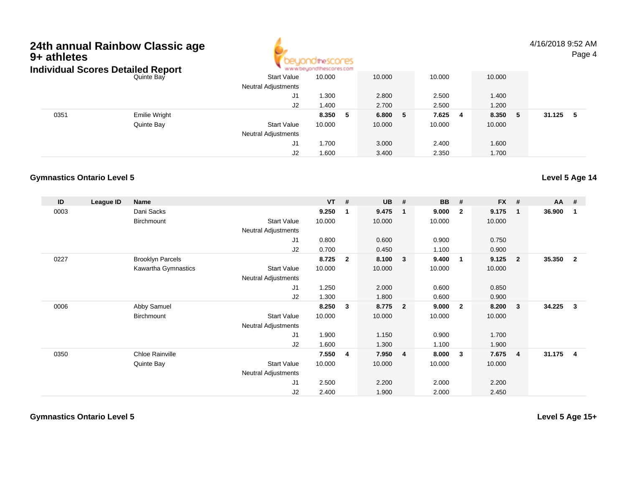# **24th annual Rainbow Classic age 9+ athletes** $\frac{1}{2}$  .  $\frac{1}{2}$  .  $\frac{1}{2}$  .  $\frac{1}{2}$  .  $\frac{1}{2}$



4/16/2018 9:52 AMPage 4

|      | Individual Scores Detailed Report | www.beyondthescores.com    |             |             |              |            |              |  |  |  |
|------|-----------------------------------|----------------------------|-------------|-------------|--------------|------------|--------------|--|--|--|
|      | Quinte Bay                        | <b>Start Value</b>         | 10.000      | 10.000      | 10.000       | 10.000     |              |  |  |  |
|      |                                   | <b>Neutral Adjustments</b> |             |             |              |            |              |  |  |  |
|      |                                   | J1                         | 1.300       | 2.800       | 2.500        | 1.400      |              |  |  |  |
|      |                                   | J2                         | 1.400       | 2.700       | 2.500        | 1.200      |              |  |  |  |
| 0351 | <b>Emilie Wright</b>              |                            | 8.350<br>-5 | 6.800<br>-5 | 7.625<br>- 4 | 8.350<br>5 | 31.125<br>-5 |  |  |  |
|      | Quinte Bay                        | <b>Start Value</b>         | 10.000      | 10.000      | 10.000       | 10.000     |              |  |  |  |
|      |                                   | <b>Neutral Adjustments</b> |             |             |              |            |              |  |  |  |
|      |                                   | J1                         | 1.700       | 3.000       | 2.400        | 1.600      |              |  |  |  |
|      |                                   | J2                         | 1.600       | 3.400       | 2.350        | 1.700      |              |  |  |  |

#### **Gymnastics Ontario Level 5Level 5 Age 14**

| ID   | League ID | Name                    |                            | $VT$ # |                | <b>UB</b> | #                       | <b>BB</b> | #              | <b>FX</b> | #              | <b>AA</b> | - #            |
|------|-----------|-------------------------|----------------------------|--------|----------------|-----------|-------------------------|-----------|----------------|-----------|----------------|-----------|----------------|
| 0003 |           | Dani Sacks              |                            | 9.250  | 1              | 9.475     | $\overline{\mathbf{1}}$ | 9.000     | $\mathbf{2}$   | 9.175     | 1              | 36.900    | $\mathbf 1$    |
|      |           | Birchmount              | <b>Start Value</b>         | 10.000 |                | 10.000    |                         | 10.000    |                | 10.000    |                |           |                |
|      |           |                         | Neutral Adjustments        |        |                |           |                         |           |                |           |                |           |                |
|      |           |                         | J1                         | 0.800  |                | 0.600     |                         | 0.900     |                | 0.750     |                |           |                |
|      |           |                         | J2                         | 0.700  |                | 0.450     |                         | 1.100     |                | 0.900     |                |           |                |
| 0227 |           | <b>Brooklyn Parcels</b> |                            | 8.725  | $\overline{2}$ | 8.100     | $\overline{\mathbf{3}}$ | 9.400     | $\overline{1}$ | 9.125     | $\overline{2}$ | 35.350    | $\overline{2}$ |
|      |           | Kawartha Gymnastics     | <b>Start Value</b>         | 10.000 |                | 10.000    |                         | 10.000    |                | 10.000    |                |           |                |
|      |           |                         | Neutral Adjustments        |        |                |           |                         |           |                |           |                |           |                |
|      |           |                         | J1                         | 1.250  |                | 2.000     |                         | 0.600     |                | 0.850     |                |           |                |
|      |           |                         | J2                         | 1.300  |                | 1.800     |                         | 0.600     |                | 0.900     |                |           |                |
| 0006 |           | Abby Samuel             |                            | 8.250  | 3              | 8.775     | $\overline{\mathbf{2}}$ | 9.000     | $\mathbf{2}$   | 8.200     | 3              | 34.225    | 3              |
|      |           | <b>Birchmount</b>       | <b>Start Value</b>         | 10.000 |                | 10.000    |                         | 10.000    |                | 10.000    |                |           |                |
|      |           |                         | <b>Neutral Adjustments</b> |        |                |           |                         |           |                |           |                |           |                |
|      |           |                         | J <sub>1</sub>             | 1.900  |                | 1.150     |                         | 0.900     |                | 1.700     |                |           |                |
|      |           |                         | J <sub>2</sub>             | 1.600  |                | 1.300     |                         | 1.100     |                | 1.900     |                |           |                |
| 0350 |           | Chloe Rainville         |                            | 7.550  | 4              | 7.950     | $\overline{4}$          | 8.000     | 3              | 7.675     | 4              | 31.175    | $\overline{4}$ |
|      |           | Quinte Bay              | <b>Start Value</b>         | 10.000 |                | 10.000    |                         | 10.000    |                | 10.000    |                |           |                |
|      |           |                         | Neutral Adjustments        |        |                |           |                         |           |                |           |                |           |                |
|      |           |                         | J1                         | 2.500  |                | 2.200     |                         | 2.000     |                | 2.200     |                |           |                |
|      |           |                         | J2                         | 2.400  |                | 1.900     |                         | 2.000     |                | 2.450     |                |           |                |

**Gymnastics Ontario Level 5**

**Level 5 Age 15+**